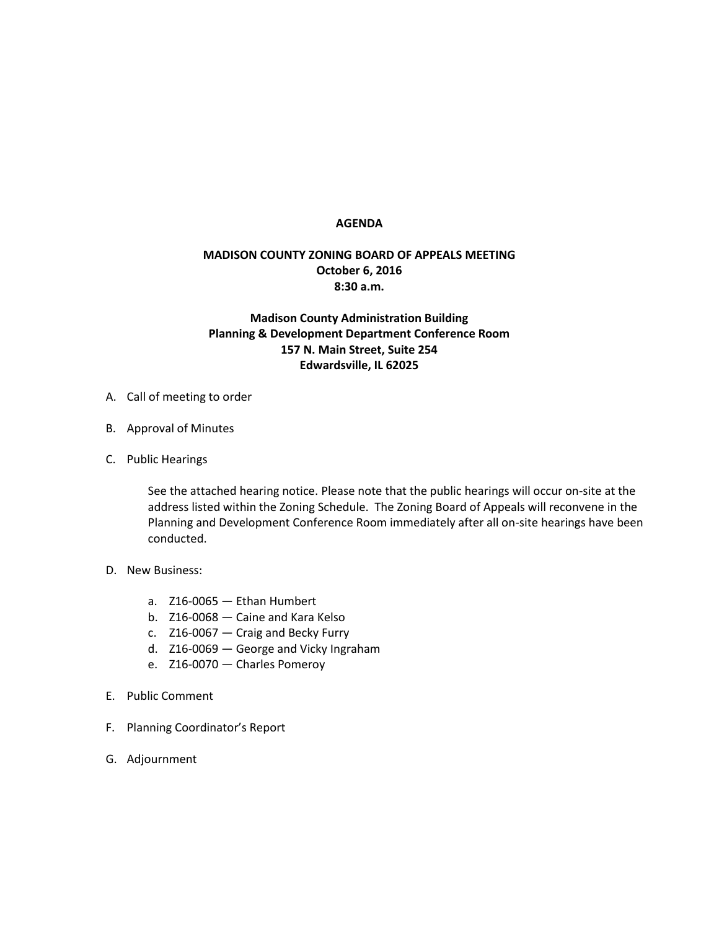## **AGENDA**

## **MADISON COUNTY ZONING BOARD OF APPEALS MEETING October 6, 2016 8:30 a.m.**

## **Madison County Administration Building Planning & Development Department Conference Room 157 N. Main Street, Suite 254 Edwardsville, IL 62025**

- A. Call of meeting to order
- B. Approval of Minutes
- C. Public Hearings

See the attached hearing notice. Please note that the public hearings will occur on-site at the address listed within the Zoning Schedule. The Zoning Board of Appeals will reconvene in the Planning and Development Conference Room immediately after all on-site hearings have been conducted.

- D. New Business:
	- a. Z16-0065 Ethan Humbert
	- b. Z16-0068 Caine and Kara Kelso
	- c. Z16-0067 Craig and Becky Furry
	- d. Z16-0069 George and Vicky Ingraham
	- e. Z16-0070 Charles Pomeroy
- E. Public Comment
- F. Planning Coordinator's Report
- G. Adjournment